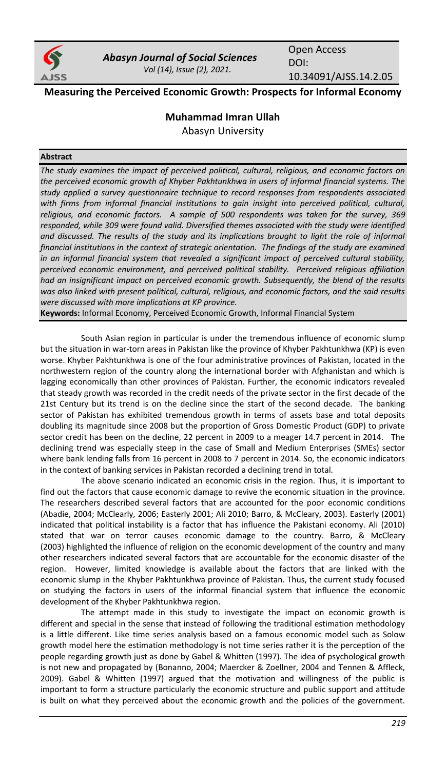

*Abasyn Journal of Social Sciences Vol (14), Issue (2), 2021.*

Open Access DOI: 10.34091/AJSS.14.2.05

# **Measuring the Perceived Economic Growth: Prospects for Informal Economy**

# **Muhammad Imran Ullah**

Abasyn University

# **Abstract**

*The study examines the impact of perceived political, cultural, religious, and economic factors on the perceived economic growth of Khyber Pakhtunkhwa in users of informal financial systems. The study applied a survey questionnaire technique to record responses from respondents associated*  with firms from informal financial institutions to gain insight into perceived political, cultural, *religious, and economic factors. A sample of 500 respondents was taken for the survey, 369 responded, while 309 were found valid. Diversified themes associated with the study were identified*  and discussed. The results of the study and its implications brought to light the role of informal financial institutions in the context of strategic orientation. The findings of the study are examined *in an informal financial system that revealed a significant impact of perceived cultural stability, perceived economic environment, and perceived political stability. Perceived religious affiliation had an insignificant impact on perceived economic growth. Subsequently, the blend of the results was also linked with present political, cultural, religious, and economic factors, and the said results were discussed with more implications at KP province.*

**Keywords:** Informal Economy, Perceived Economic Growth, Informal Financial System

South Asian region in particular is under the tremendous influence of economic slump but the situation in war-torn areas in Pakistan like the province of Khyber Pakhtunkhwa (KP) is even worse. Khyber Pakhtunkhwa is one of the four administrative provinces of Pakistan, located in the northwestern region of the country along the international border with Afghanistan and which is lagging economically than other provinces of Pakistan. Further, the economic indicators revealed that steady growth was recorded in the credit needs of the private sector in the first decade of the 21st Century but its trend is on the decline since the start of the second decade. The banking sector of Pakistan has exhibited tremendous growth in terms of assets base and total deposits doubling its magnitude since 2008 but the proportion of Gross Domestic Product (GDP) to private sector credit has been on the decline, 22 percent in 2009 to a meager 14.7 percent in 2014. The declining trend was especially steep in the case of Small and Medium Enterprises (SMEs) sector where bank lending falls from 16 percent in 2008 to 7 percent in 2014. So, the economic indicators in the context of banking services in Pakistan recorded a declining trend in total.

The above scenario indicated an economic crisis in the region. Thus, it is important to find out the factors that cause economic damage to revive the economic situation in the province. The researchers described several factors that are accounted for the poor economic conditions (Abadie, 2004; McClearly, 2006; Easterly 2001; Ali 2010; Barro, & McCleary, 2003). Easterly (2001) indicated that political instability is a factor that has influence the Pakistani economy. Ali (2010) stated that war on terror causes economic damage to the country. Barro, & McCleary (2003) highlighted the influence of religion on the economic development of the country and many other researchers indicated several factors that are accountable for the economic disaster of the region. However, limited knowledge is available about the factors that are linked with the economic slump in the Khyber Pakhtunkhwa province of Pakistan. Thus, the current study focused on studying the factors in users of the informal financial system that influence the economic development of the Khyber Pakhtunkhwa region.

The attempt made in this study to investigate the impact on economic growth is different and special in the sense that instead of following the traditional estimation methodology is a little different. Like time series analysis based on a famous economic model such as Solow growth model here the estimation methodology is not time series rather it is the perception of the people regarding growth just as done by Gabel & Whitten (1997). The idea of psychological growth is not new and propagated by (Bonanno, 2004; Maercker & Zoellner, 2004 and Tennen & Affleck, 2009). Gabel & Whitten (1997) argued that the motivation and willingness of the public is important to form a structure particularly the economic structure and public support and attitude is built on what they perceived about the economic growth and the policies of the government.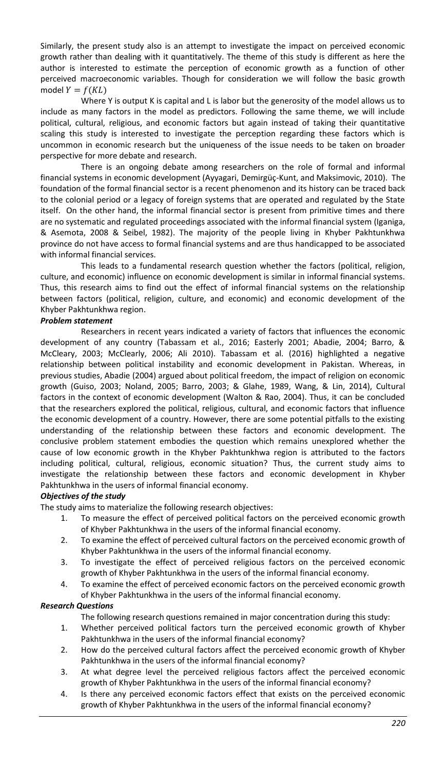Similarly, the present study also is an attempt to investigate the impact on perceived economic growth rather than dealing with it quantitatively. The theme of this study is different as here the author is interested to estimate the perception of economic growth as a function of other perceived macroeconomic variables. Though for consideration we will follow the basic growth model  $Y = f(KL)$ 

Where Y is output K is capital and L is labor but the generosity of the model allows us to include as many factors in the model as predictors. Following the same theme, we will include political, cultural, religious, and economic factors but again instead of taking their quantitative scaling this study is interested to investigate the perception regarding these factors which is uncommon in economic research but the uniqueness of the issue needs to be taken on broader perspective for more debate and research.

There is an ongoing debate among researchers on the role of formal and informal financial systems in economic development (Ayyagari, Demirgüç-Kunt, and Maksimovic, 2010). The foundation of the formal financial sector is a recent phenomenon and its history can be traced back to the colonial period or a legacy of foreign systems that are operated and regulated by the State itself. On the other hand, the informal financial sector is present from primitive times and there are no systematic and regulated proceedings associated with the informal financial system (Iganiga, & Asemota, 2008 & Seibel, 1982). The majority of the people living in Khyber Pakhtunkhwa province do not have access to formal financial systems and are thus handicapped to be associated with informal financial services.

This leads to a fundamental research question whether the factors (political, religion, culture, and economic) influence on economic development is similar in informal financial systems. Thus, this research aims to find out the effect of informal financial systems on the relationship between factors (political, religion, culture, and economic) and economic development of the Khyber Pakhtunkhwa region.

### *Problem statement*

Researchers in recent years indicated a variety of factors that influences the economic development of any country (Tabassam et al., 2016; Easterly 2001; Abadie, 2004; Barro, & McCleary, 2003; McClearly, 2006; Ali 2010). Tabassam et al. (2016) highlighted a negative relationship between political instability and economic development in Pakistan. Whereas, in previous studies, Abadie (2004) argued about political freedom, the impact of religion on economic growth (Guiso, 2003; Noland, 2005; Barro, 2003; & Glahe, 1989, Wang, & Lin, 2014), Cultural factors in the context of economic development (Walton & Rao, 2004). Thus, it can be concluded that the researchers explored the political, religious, cultural, and economic factors that influence the economic development of a country. However, there are some potential pitfalls to the existing understanding of the relationship between these factors and economic development. The conclusive problem statement embodies the question which remains unexplored whether the cause of low economic growth in the Khyber Pakhtunkhwa region is attributed to the factors including political, cultural, religious, economic situation? Thus, the current study aims to investigate the relationship between these factors and economic development in Khyber Pakhtunkhwa in the users of informal financial economy.

### *Objectives of the study*

The study aims to materialize the following research objectives:

- 1. To measure the effect of perceived political factors on the perceived economic growth of Khyber Pakhtunkhwa in the users of the informal financial economy.
- 2. To examine the effect of perceived cultural factors on the perceived economic growth of Khyber Pakhtunkhwa in the users of the informal financial economy.
- 3. To investigate the effect of perceived religious factors on the perceived economic growth of Khyber Pakhtunkhwa in the users of the informal financial economy.
- 4. To examine the effect of perceived economic factors on the perceived economic growth of Khyber Pakhtunkhwa in the users of the informal financial economy.

### *Research Questions*

The following research questions remained in major concentration during this study:

- 1. Whether perceived political factors turn the perceived economic growth of Khyber Pakhtunkhwa in the users of the informal financial economy?
- 2. How do the perceived cultural factors affect the perceived economic growth of Khyber Pakhtunkhwa in the users of the informal financial economy?
- 3. At what degree level the perceived religious factors affect the perceived economic growth of Khyber Pakhtunkhwa in the users of the informal financial economy?
- 4. Is there any perceived economic factors effect that exists on the perceived economic growth of Khyber Pakhtunkhwa in the users of the informal financial economy?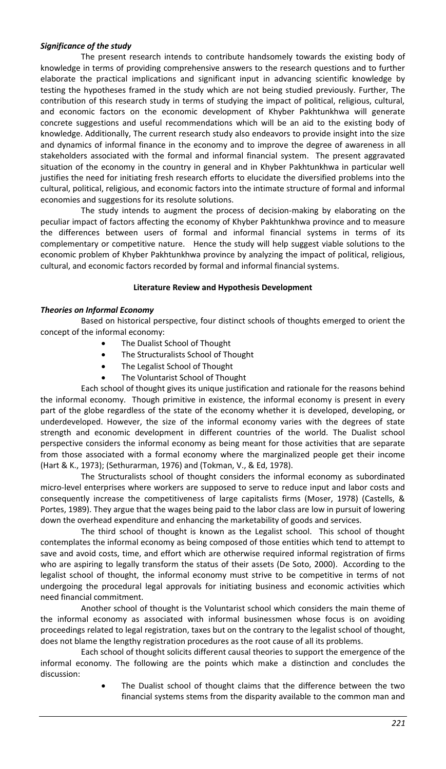### *Significance of the study*

The present research intends to contribute handsomely towards the existing body of knowledge in terms of providing comprehensive answers to the research questions and to further elaborate the practical implications and significant input in advancing scientific knowledge by testing the hypotheses framed in the study which are not being studied previously. Further, The contribution of this research study in terms of studying the impact of political, religious, cultural, and economic factors on the economic development of Khyber Pakhtunkhwa will generate concrete suggestions and useful recommendations which will be an aid to the existing body of knowledge. Additionally, The current research study also endeavors to provide insight into the size and dynamics of informal finance in the economy and to improve the degree of awareness in all stakeholders associated with the formal and informal financial system. The present aggravated situation of the economy in the country in general and in Khyber Pakhtunkhwa in particular well justifies the need for initiating fresh research efforts to elucidate the diversified problems into the cultural, political, religious, and economic factors into the intimate structure of formal and informal economies and suggestions for its resolute solutions.

The study intends to augment the process of decision-making by elaborating on the peculiar impact of factors affecting the economy of Khyber Pakhtunkhwa province and to measure the differences between users of formal and informal financial systems in terms of its complementary or competitive nature. Hence the study will help suggest viable solutions to the economic problem of Khyber Pakhtunkhwa province by analyzing the impact of political, religious, cultural, and economic factors recorded by formal and informal financial systems.

# **Literature Review and Hypothesis Development**

# *Theories on Informal Economy*

Based on historical perspective, four distinct schools of thoughts emerged to orient the concept of the informal economy:

- The Dualist School of Thought
- The Structuralists School of Thought
- The Legalist School of Thought
- The Voluntarist School of Thought

Each school of thought gives its unique justification and rationale for the reasons behind the informal economy. Though primitive in existence, the informal economy is present in every part of the globe regardless of the state of the economy whether it is developed, developing, or underdeveloped. However, the size of the informal economy varies with the degrees of state strength and economic development in different countries of the world. The Dualist school perspective considers the informal economy as being meant for those activities that are separate from those associated with a formal economy where the marginalized people get their income (Hart & K., 1973); (Sethurarman, 1976) and (Tokman, V., & Ed, 1978).

The Structuralists school of thought considers the informal economy as subordinated micro-level enterprises where workers are supposed to serve to reduce input and labor costs and consequently increase the competitiveness of large capitalists firms (Moser, 1978) (Castells, & Portes, 1989). They argue that the wages being paid to the labor class are low in pursuit of lowering down the overhead expenditure and enhancing the marketability of goods and services.

The third school of thought is known as the Legalist school. This school of thought contemplates the informal economy as being composed of those entities which tend to attempt to save and avoid costs, time, and effort which are otherwise required informal registration of firms who are aspiring to legally transform the status of their assets (De Soto, 2000). According to the legalist school of thought, the informal economy must strive to be competitive in terms of not undergoing the procedural legal approvals for initiating business and economic activities which need financial commitment.

Another school of thought is the Voluntarist school which considers the main theme of the informal economy as associated with informal businessmen whose focus is on avoiding proceedings related to legal registration, taxes but on the contrary to the legalist school of thought, does not blame the lengthy registration procedures as the root cause of all its problems.

Each school of thought solicits different causal theories to support the emergence of the informal economy. The following are the points which make a distinction and concludes the discussion:

> The Dualist school of thought claims that the difference between the two financial systems stems from the disparity available to the common man and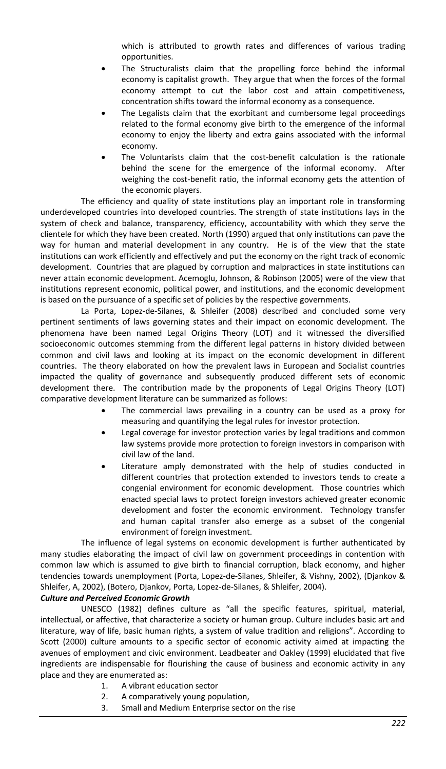which is attributed to growth rates and differences of various trading opportunities.

- The Structuralists claim that the propelling force behind the informal economy is capitalist growth. They argue that when the forces of the formal economy attempt to cut the labor cost and attain competitiveness, concentration shifts toward the informal economy as a consequence.
- The Legalists claim that the exorbitant and cumbersome legal proceedings related to the formal economy give birth to the emergence of the informal economy to enjoy the liberty and extra gains associated with the informal economy.
- The Voluntarists claim that the cost-benefit calculation is the rationale behind the scene for the emergence of the informal economy. After weighing the cost-benefit ratio, the informal economy gets the attention of the economic players.

The efficiency and quality of state institutions play an important role in transforming underdeveloped countries into developed countries. The strength of state institutions lays in the system of check and balance, transparency, efficiency, accountability with which they serve the clientele for which they have been created. North (1990) argued that only institutions can pave the way for human and material development in any country. He is of the view that the state institutions can work efficiently and effectively and put the economy on the right track of economic development. Countries that are plagued by corruption and malpractices in state institutions can never attain economic development. Acemoglu, Johnson, & Robinson (2005) were of the view that institutions represent economic, political power, and institutions, and the economic development is based on the pursuance of a specific set of policies by the respective governments.

La Porta, Lopez-de-Silanes, & Shleifer (2008) described and concluded some very pertinent sentiments of laws governing states and their impact on economic development. The phenomena have been named Legal Origins Theory (LOT) and it witnessed the diversified socioeconomic outcomes stemming from the different legal patterns in history divided between common and civil laws and looking at its impact on the economic development in different countries. The theory elaborated on how the prevalent laws in European and Socialist countries impacted the quality of governance and subsequently produced different sets of economic development there. The contribution made by the proponents of Legal Origins Theory (LOT) comparative development literature can be summarized as follows:

- The commercial laws prevailing in a country can be used as a proxy for measuring and quantifying the legal rules for investor protection.
- Legal coverage for investor protection varies by legal traditions and common law systems provide more protection to foreign investors in comparison with civil law of the land.
- Literature amply demonstrated with the help of studies conducted in different countries that protection extended to investors tends to create a congenial environment for economic development. Those countries which enacted special laws to protect foreign investors achieved greater economic development and foster the economic environment. Technology transfer and human capital transfer also emerge as a subset of the congenial environment of foreign investment.

The influence of legal systems on economic development is further authenticated by many studies elaborating the impact of civil law on government proceedings in contention with common law which is assumed to give birth to financial corruption, black economy, and higher tendencies towards unemployment (Porta, Lopez-de-Silanes, Shleifer, & Vishny, 2002), (Djankov & Shleifer, A, 2002), (Botero, Djankov, Porta, Lopez-de-Silanes, & Shleifer, 2004).

### *Culture and Perceived Economic Growth*

UNESCO (1982) defines culture as "all the specific features, spiritual, material, intellectual, or affective, that characterize a society or human group. Culture includes basic art and literature, way of life, basic human rights, a system of value tradition and religions". According to Scott (2000) culture amounts to a specific sector of economic activity aimed at impacting the avenues of employment and civic environment. Leadbeater and Oakley (1999) elucidated that five ingredients are indispensable for flourishing the cause of business and economic activity in any place and they are enumerated as:

- 1. A vibrant education sector
- 2. A comparatively young population,
- 3. Small and Medium Enterprise sector on the rise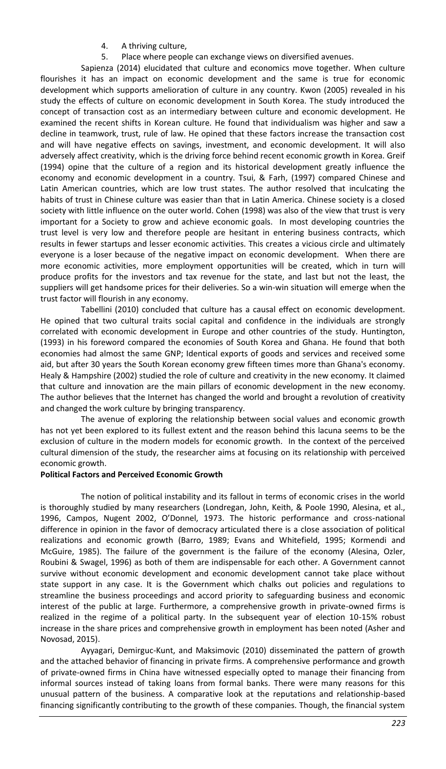- 4. A thriving culture,
- 5. Place where people can exchange views on diversified avenues.

Sapienza (2014) elucidated that culture and economics move together. When culture flourishes it has an impact on economic development and the same is true for economic development which supports amelioration of culture in any country. Kwon (2005) revealed in his study the effects of culture on economic development in South Korea. The study introduced the concept of transaction cost as an intermediary between culture and economic development. He examined the recent shifts in Korean culture. He found that individualism was higher and saw a decline in teamwork, trust, rule of law. He opined that these factors increase the transaction cost and will have negative effects on savings, investment, and economic development. It will also adversely affect creativity, which is the driving force behind recent economic growth in Korea. Greif (1994) opine that the culture of a region and its historical development greatly influence the economy and economic development in a country. Tsui, & Farh, (1997) compared Chinese and Latin American countries, which are low trust states. The author resolved that inculcating the habits of trust in Chinese culture was easier than that in Latin America. Chinese society is a closed society with little influence on the outer world. Cohen (1998) was also of the view that trust is very important for a Society to grow and achieve economic goals. In most developing countries the trust level is very low and therefore people are hesitant in entering business contracts, which results in fewer startups and lesser economic activities. This creates a vicious circle and ultimately everyone is a loser because of the negative impact on economic development. When there are more economic activities, more employment opportunities will be created, which in turn will produce profits for the investors and tax revenue for the state, and last but not the least, the suppliers will get handsome prices for their deliveries. So a win-win situation will emerge when the trust factor will flourish in any economy.

Tabellini (2010) concluded that culture has a causal effect on economic development. He opined that two cultural traits social capital and confidence in the individuals are strongly correlated with economic development in Europe and other countries of the study. Huntington, (1993) in his foreword compared the economies of South Korea and Ghana. He found that both economies had almost the same GNP; Identical exports of goods and services and received some aid, but after 30 years the South Korean economy grew fifteen times more than Ghana's economy. Healy & Hampshire (2002) studied the role of culture and creativity in the new economy. It claimed that culture and innovation are the main pillars of economic development in the new economy. The author believes that the Internet has changed the world and brought a revolution of creativity and changed the work culture by bringing transparency.

The avenue of exploring the relationship between social values and economic growth has not yet been explored to its fullest extent and the reason behind this lacuna seems to be the exclusion of culture in the modern models for economic growth. In the context of the perceived cultural dimension of the study, the researcher aims at focusing on its relationship with perceived economic growth.

# **Political Factors and Perceived Economic Growth**

The notion of political instability and its fallout in terms of economic crises in the world is thoroughly studied by many researchers (Londregan, John, Keith, & Poole 1990, Alesina, et al., 1996, Campos, Nugent 2002, O'Donnel, 1973. The historic performance and cross-national difference in opinion in the favor of democracy articulated there is a close association of political realizations and economic growth (Barro, 1989; Evans and Whitefield, 1995; Kormendi and McGuire, 1985). The failure of the government is the failure of the economy (Alesina, Ozler, Roubini & Swagel, 1996) as both of them are indispensable for each other. A Government cannot survive without economic development and economic development cannot take place without state support in any case. It is the Government which chalks out policies and regulations to streamline the business proceedings and accord priority to safeguarding business and economic interest of the public at large. Furthermore, a comprehensive growth in private-owned firms is realized in the regime of a political party. In the subsequent year of election 10-15% robust increase in the share prices and comprehensive growth in employment has been noted (Asher and Novosad, 2015).

Ayyagari, Demirguc-Kunt, and Maksimovic (2010) disseminated the pattern of growth and the attached behavior of financing in private firms. A comprehensive performance and growth of private-owned firms in China have witnessed especially opted to manage their financing from informal sources instead of taking loans from formal banks. There were many reasons for this unusual pattern of the business. A comparative look at the reputations and relationship-based financing significantly contributing to the growth of these companies. Though, the financial system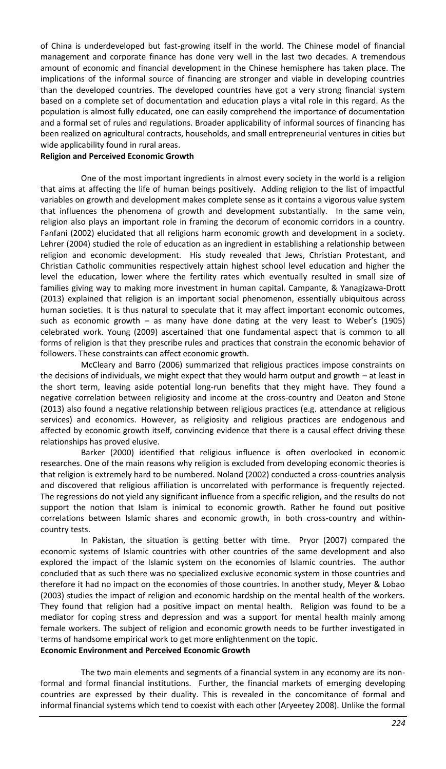of China is underdeveloped but fast-growing itself in the world. The Chinese model of financial management and corporate finance has done very well in the last two decades. A tremendous amount of economic and financial development in the Chinese hemisphere has taken place. The implications of the informal source of financing are stronger and viable in developing countries than the developed countries. The developed countries have got a very strong financial system based on a complete set of documentation and education plays a vital role in this regard. As the population is almost fully educated, one can easily comprehend the importance of documentation and a formal set of rules and regulations. Broader applicability of informal sources of financing has been realized on agricultural contracts, households, and small entrepreneurial ventures in cities but wide applicability found in rural areas.

### **Religion and Perceived Economic Growth**

One of the most important ingredients in almost every society in the world is a religion that aims at affecting the life of human beings positively. Adding religion to the list of impactful variables on growth and development makes complete sense as it contains a vigorous value system that influences the phenomena of growth and development substantially. In the same vein, religion also plays an important role in framing the decorum of economic corridors in a country. Fanfani (2002) elucidated that all religions harm economic growth and development in a society. Lehrer (2004) studied the role of education as an ingredient in establishing a relationship between religion and economic development. His study revealed that Jews, Christian Protestant, and Christian Catholic communities respectively attain highest school level education and higher the level the education, lower where the fertility rates which eventually resulted in small size of families giving way to making more investment in human capital. Campante, & Yanagizawa-Drott (2013) explained that religion is an important social phenomenon, essentially ubiquitous across human societies. It is thus natural to speculate that it may affect important economic outcomes, such as economic growth – as many have done dating at the very least to Weber's (1905) celebrated work. Young (2009) ascertained that one fundamental aspect that is common to all forms of religion is that they prescribe rules and practices that constrain the economic behavior of followers. These constraints can affect economic growth.

McCleary and Barro (2006) summarized that religious practices impose constraints on the decisions of individuals, we might expect that they would harm output and growth – at least in the short term, leaving aside potential long-run benefits that they might have. They found a negative correlation between religiosity and income at the cross-country and Deaton and Stone (2013) also found a negative relationship between religious practices (e.g. attendance at religious services) and economics. However, as religiosity and religious practices are endogenous and affected by economic growth itself, convincing evidence that there is a causal effect driving these relationships has proved elusive.

Barker (2000) identified that religious influence is often overlooked in economic researches. One of the main reasons why religion is excluded from developing economic theories is that religion is extremely hard to be numbered. Noland (2002) conducted a cross-countries analysis and discovered that religious affiliation is uncorrelated with performance is frequently rejected. The regressions do not yield any significant influence from a specific religion, and the results do not support the notion that Islam is inimical to economic growth. Rather he found out positive correlations between Islamic shares and economic growth, in both cross-country and withincountry tests.

In Pakistan, the situation is getting better with time. Pryor (2007) compared the economic systems of Islamic countries with other countries of the same development and also explored the impact of the Islamic system on the economies of Islamic countries. The author concluded that as such there was no specialized exclusive economic system in those countries and therefore it had no impact on the economies of those countries. In another study, Meyer & Lobao (2003) studies the impact of religion and economic hardship on the mental health of the workers. They found that religion had a positive impact on mental health. Religion was found to be a mediator for coping stress and depression and was a support for mental health mainly among female workers. The subject of religion and economic growth needs to be further investigated in terms of handsome empirical work to get more enlightenment on the topic. **Economic Environment and Perceived Economic Growth** 

The two main elements and segments of a financial system in any economy are its nonformal and formal financial institutions. Further, the financial markets of emerging developing countries are expressed by their duality. This is revealed in the concomitance of formal and informal financial systems which tend to coexist with each other (Aryeetey 2008). Unlike the formal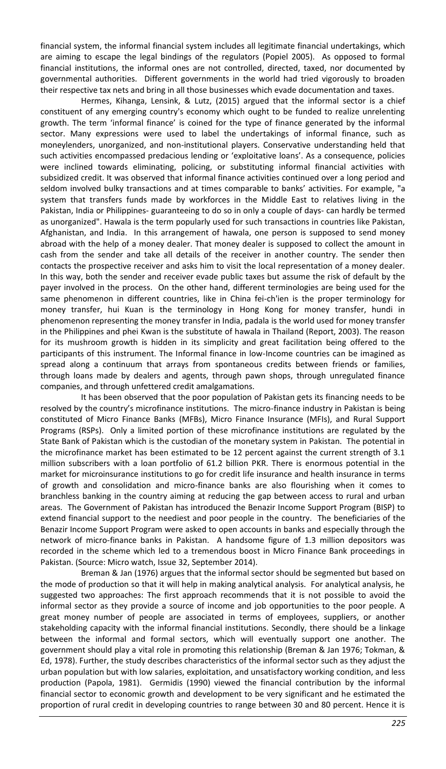financial system, the informal financial system includes all legitimate financial undertakings, which are aiming to escape the legal bindings of the regulators (Popiel 2005). As opposed to formal financial institutions, the informal ones are not controlled, directed, taxed, nor documented by governmental authorities. Different governments in the world had tried vigorously to broaden their respective tax nets and bring in all those businesses which evade documentation and taxes.

Hermes, Kihanga, Lensink, & Lutz, (2015) argued that the informal sector is a chief constituent of any emerging country's economy which ought to be funded to realize unrelenting growth. The term 'informal finance' is coined for the type of finance generated by the informal sector. Many expressions were used to label the undertakings of informal finance, such as moneylenders, unorganized, and non-institutional players. Conservative understanding held that such activities encompassed predacious lending or 'exploitative loans'. As a consequence, policies were inclined towards eliminating, policing, or substituting informal financial activities with subsidized credit. It was observed that informal finance activities continued over a long period and seldom involved bulky transactions and at times comparable to banks' activities. For example, "a system that transfers funds made by workforces in the Middle East to relatives living in the Pakistan, India or Philippines- guaranteeing to do so in only a couple of days- can hardly be termed as unorganized". Hawala is the term popularly used for such transactions in countries like Pakistan, Afghanistan, and India. In this arrangement of hawala, one person is supposed to send money abroad with the help of a money dealer. That money dealer is supposed to collect the amount in cash from the sender and take all details of the receiver in another country. The sender then contacts the prospective receiver and asks him to visit the local representation of a money dealer. In this way, both the sender and receiver evade public taxes but assume the risk of default by the payer involved in the process. On the other hand, different terminologies are being used for the same phenomenon in different countries, like in China fei-ch'ien is the proper terminology for money transfer, hui Kuan is the terminology in Hong Kong for money transfer, hundi in phenomenon representing the money transfer in India, padala is the world used for money transfer in the Philippines and phei Kwan is the substitute of hawala in Thailand (Report, 2003). The reason for its mushroom growth is hidden in its simplicity and great facilitation being offered to the participants of this instrument. The Informal finance in low-Income countries can be imagined as spread along a continuum that arrays from spontaneous credits between friends or families, through loans made by dealers and agents, through pawn shops, through unregulated finance companies, and through unfettered credit amalgamations.

It has been observed that the poor population of Pakistan gets its financing needs to be resolved by the country's microfinance institutions. The micro-finance industry in Pakistan is being constituted of Micro Finance Banks (MFBs), Micro Finance Insurance (MFIs), and Rural Support Programs (RSPs). Only a limited portion of these microfinance institutions are regulated by the State Bank of Pakistan which is the custodian of the monetary system in Pakistan. The potential in the microfinance market has been estimated to be 12 percent against the current strength of 3.1 million subscribers with a loan portfolio of 61.2 billion PKR. There is enormous potential in the market for microinsurance institutions to go for credit life insurance and health insurance in terms of growth and consolidation and micro-finance banks are also flourishing when it comes to branchless banking in the country aiming at reducing the gap between access to rural and urban areas. The Government of Pakistan has introduced the Benazir Income Support Program (BISP) to extend financial support to the neediest and poor people in the country. The beneficiaries of the Benazir Income Support Program were asked to open accounts in banks and especially through the network of micro-finance banks in Pakistan. A handsome figure of 1.3 million depositors was recorded in the scheme which led to a tremendous boost in Micro Finance Bank proceedings in Pakistan. (Source: Micro watch, Issue 32, September 2014).

Breman & Jan (1976) argues that the informal sector should be segmented but based on the mode of production so that it will help in making analytical analysis. For analytical analysis, he suggested two approaches: The first approach recommends that it is not possible to avoid the informal sector as they provide a source of income and job opportunities to the poor people. A great money number of people are associated in terms of employees, suppliers, or another stakeholding capacity with the informal financial institutions. Secondly, there should be a linkage between the informal and formal sectors, which will eventually support one another. The government should play a vital role in promoting this relationship (Breman & Jan 1976; Tokman, & Ed, 1978). Further, the study describes characteristics of the informal sector such as they adjust the urban population but with low salaries, exploitation, and unsatisfactory working condition, and less production (Papola, 1981). Germidis (1990) viewed the financial contribution by the informal financial sector to economic growth and development to be very significant and he estimated the proportion of rural credit in developing countries to range between 30 and 80 percent. Hence it is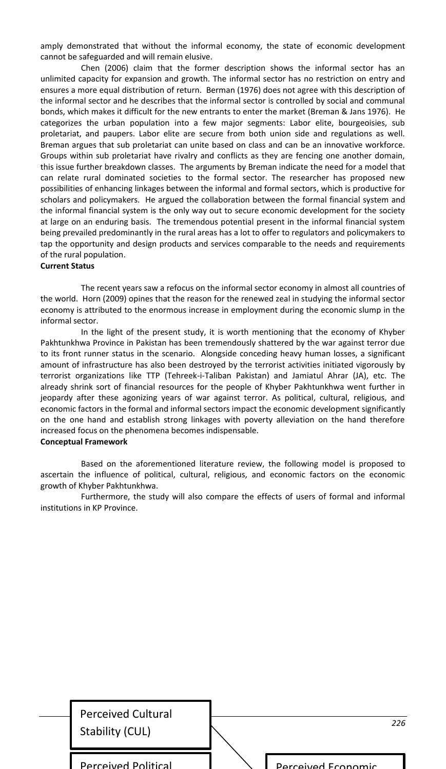amply demonstrated that without the informal economy, the state of economic development cannot be safeguarded and will remain elusive.

Chen (2006) claim that the former description shows the informal sector has an unlimited capacity for expansion and growth. The informal sector has no restriction on entry and ensures a more equal distribution of return. Berman (1976) does not agree with this description of the informal sector and he describes that the informal sector is controlled by social and communal bonds, which makes it difficult for the new entrants to enter the market (Breman & Jans 1976). He categorizes the urban population into a few major segments: Labor elite, bourgeoisies, sub proletariat, and paupers. Labor elite are secure from both union side and regulations as well. Breman argues that sub proletariat can unite based on class and can be an innovative workforce. Groups within sub proletariat have rivalry and conflicts as they are fencing one another domain, this issue further breakdown classes. The arguments by Breman indicate the need for a model that can relate rural dominated societies to the formal sector. The researcher has proposed new possibilities of enhancing linkages between the informal and formal sectors, which is productive for scholars and policymakers. He argued the collaboration between the formal financial system and the informal financial system is the only way out to secure economic development for the society at large on an enduring basis. The tremendous potential present in the informal financial system being prevailed predominantly in the rural areas has a lot to offer to regulators and policymakers to tap the opportunity and design products and services comparable to the needs and requirements of the rural population.

### **Current Status**

The recent years saw a refocus on the informal sector economy in almost all countries of the world. Horn (2009) opines that the reason for the renewed zeal in studying the informal sector economy is attributed to the enormous increase in employment during the economic slump in the informal sector.

In the light of the present study, it is worth mentioning that the economy of Khyber Pakhtunkhwa Province in Pakistan has been tremendously shattered by the war against terror due to its front runner status in the scenario. Alongside conceding heavy human losses, a significant amount of infrastructure has also been destroyed by the terrorist activities initiated vigorously by terrorist organizations like TTP (Tehreek-i-Taliban Pakistan) and Jamiatul Ahrar (JA), etc. The already shrink sort of financial resources for the people of Khyber Pakhtunkhwa went further in jeopardy after these agonizing years of war against terror. As political, cultural, religious, and economic factors in the formal and informal sectors impact the economic development significantly on the one hand and establish strong linkages with poverty alleviation on the hand therefore increased focus on the phenomena becomes indispensable.

### **Conceptual Framework**

Based on the aforementioned literature review, the following model is proposed to ascertain the influence of political, cultural, religious, and economic factors on the economic growth of Khyber Pakhtunkhwa.

Furthermore, the study will also compare the effects of users of formal and informal institutions in KP Province.

| <b>Perceived Cultural</b><br>Stability (CUL) |                           | 226 |
|----------------------------------------------|---------------------------|-----|
| <b>Perceived Political</b>                   | <b>Perceived Economic</b> |     |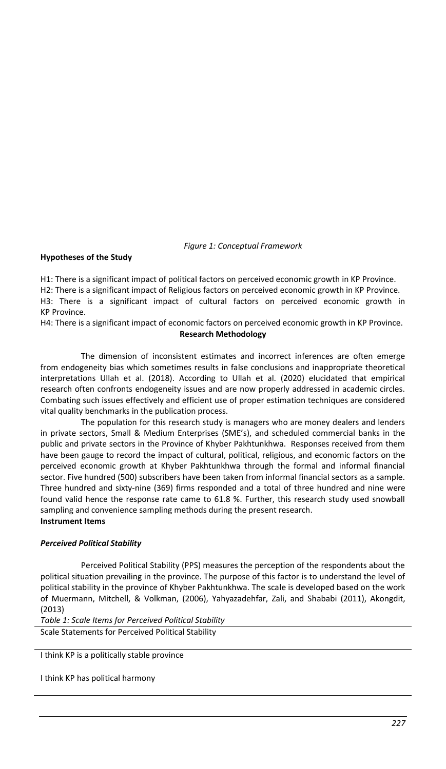*Figure 1: Conceptual Framework*

# **Hypotheses of the Study**

H1: There is a significant impact of political factors on perceived economic growth in KP Province.

H2: There is a significant impact of Religious factors on perceived economic growth in KP Province.

H3: There is a significant impact of cultural factors on perceived economic growth in KP Province.

H4: There is a significant impact of economic factors on perceived economic growth in KP Province. **Research Methodology**

The dimension of inconsistent estimates and incorrect inferences are often emerge from endogeneity bias which sometimes results in false conclusions and inappropriate theoretical interpretations Ullah et al. (2018). According to Ullah et al. (2020) elucidated that empirical research often confronts endogeneity issues and are now properly addressed in academic circles. Combating such issues effectively and efficient use of proper estimation techniques are considered vital quality benchmarks in the publication process.

The population for this research study is managers who are money dealers and lenders in private sectors, Small & Medium Enterprises (SME's), and scheduled commercial banks in the public and private sectors in the Province of Khyber Pakhtunkhwa. Responses received from them have been gauge to record the impact of cultural, political, religious, and economic factors on the perceived economic growth at Khyber Pakhtunkhwa through the formal and informal financial sector. Five hundred (500) subscribers have been taken from informal financial sectors as a sample. Three hundred and sixty-nine (369) firms responded and a total of three hundred and nine were found valid hence the response rate came to 61.8 %. Further, this research study used snowball sampling and convenience sampling methods during the present research.

# **Instrument Items**

# *Perceived Political Stability*

Perceived Political Stability (PPS) measures the perception of the respondents about the political situation prevailing in the province. The purpose of this factor is to understand the level of political stability in the province of Khyber Pakhtunkhwa. The scale is developed based on the work of Muermann, Mitchell, & Volkman, (2006), Yahyazadehfar, Zali, and Shababi (2011), Akongdit, (2013)

*Table 1: Scale Items for Perceived Political Stability*

Scale Statements for Perceived Political Stability

I think KP is a politically stable province

I think KP has political harmony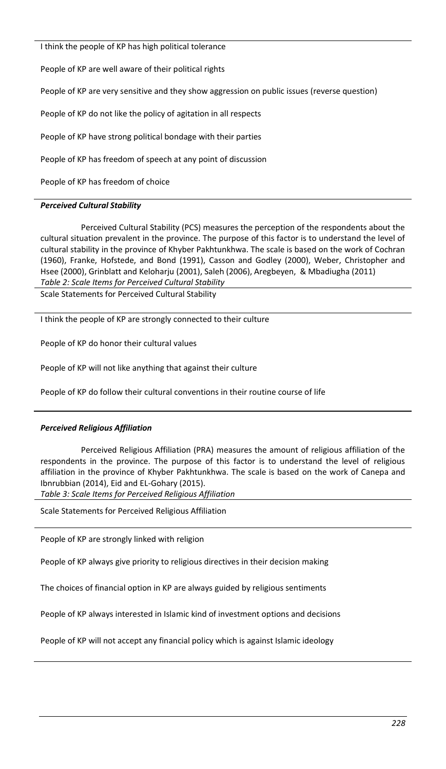I think the people of KP has high political tolerance

People of KP are well aware of their political rights

People of KP are very sensitive and they show aggression on public issues (reverse question)

People of KP do not like the policy of agitation in all respects

People of KP have strong political bondage with their parties

People of KP has freedom of speech at any point of discussion

People of KP has freedom of choice

# *Perceived Cultural Stability*

Perceived Cultural Stability (PCS) measures the perception of the respondents about the cultural situation prevalent in the province. The purpose of this factor is to understand the level of cultural stability in the province of Khyber Pakhtunkhwa. The scale is based on the work of Cochran (1960), Franke, Hofstede, and Bond (1991), Casson and Godley (2000), Weber, Christopher and Hsee (2000), Grinblatt and Keloharju (2001), Saleh (2006), Aregbeyen, & Mbadiugha (2011) *Table 2: Scale Items for Perceived Cultural Stability*

Scale Statements for Perceived Cultural Stability

I think the people of KP are strongly connected to their culture

People of KP do honor their cultural values

People of KP will not like anything that against their culture

People of KP do follow their cultural conventions in their routine course of life

# *Perceived Religious Affiliation*

Perceived Religious Affiliation (PRA) measures the amount of religious affiliation of the respondents in the province. The purpose of this factor is to understand the level of religious affiliation in the province of Khyber Pakhtunkhwa. The scale is based on the work of Canepa and Ibnrubbian (2014), Eid and EL-Gohary (2015).

*Table 3: Scale Items for Perceived Religious Affiliation*

Scale Statements for Perceived Religious Affiliation

People of KP are strongly linked with religion

People of KP always give priority to religious directives in their decision making

The choices of financial option in KP are always guided by religious sentiments

People of KP always interested in Islamic kind of investment options and decisions

People of KP will not accept any financial policy which is against Islamic ideology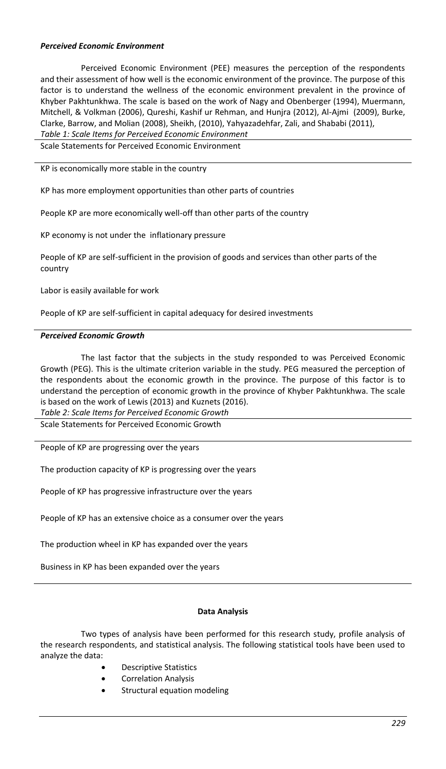### *Perceived Economic Environment*

Perceived Economic Environment (PEE) measures the perception of the respondents and their assessment of how well is the economic environment of the province. The purpose of this factor is to understand the wellness of the economic environment prevalent in the province of Khyber Pakhtunkhwa. The scale is based on the work of Nagy and Obenberger (1994), Muermann, Mitchell, & Volkman (2006), Qureshi, Kashif ur Rehman, and Hunjra (2012), Al-Ajmi (2009), Burke, Clarke, Barrow, and Molian (2008), Sheikh, (2010), Yahyazadehfar, Zali, and Shababi (2011),

*Table 1: Scale Items for Perceived Economic Environment*

Scale Statements for Perceived Economic Environment

KP is economically more stable in the country

KP has more employment opportunities than other parts of countries

People KP are more economically well-off than other parts of the country

KP economy is not under the inflationary pressure

People of KP are self-sufficient in the provision of goods and services than other parts of the country

Labor is easily available for work

People of KP are self-sufficient in capital adequacy for desired investments

### *Perceived Economic Growth*

The last factor that the subjects in the study responded to was Perceived Economic Growth (PEG). This is the ultimate criterion variable in the study. PEG measured the perception of the respondents about the economic growth in the province. The purpose of this factor is to understand the perception of economic growth in the province of Khyber Pakhtunkhwa. The scale is based on the work of Lewis (2013) and Kuznets (2016).

*Table 2: Scale Items for Perceived Economic Growth*

Scale Statements for Perceived Economic Growth

People of KP are progressing over the years

The production capacity of KP is progressing over the years

People of KP has progressive infrastructure over the years

People of KP has an extensive choice as a consumer over the years

The production wheel in KP has expanded over the years

Business in KP has been expanded over the years

#### **Data Analysis**

Two types of analysis have been performed for this research study, profile analysis of the research respondents, and statistical analysis. The following statistical tools have been used to analyze the data:

- Descriptive Statistics
- Correlation Analysis
- Structural equation modeling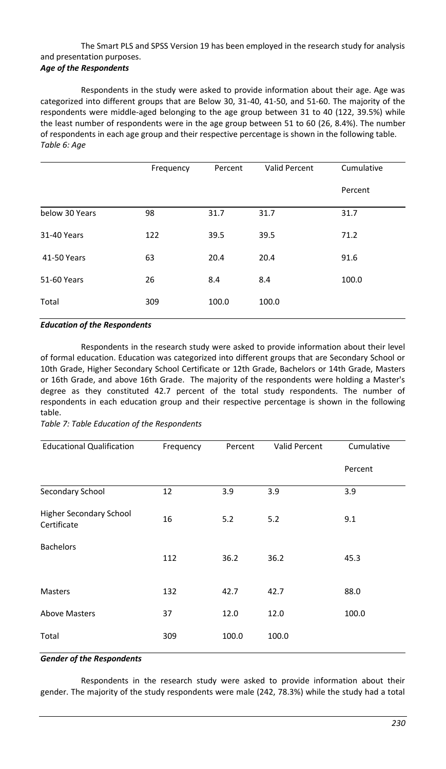# The Smart PLS and SPSS Version 19 has been employed in the research study for analysis and presentation purposes.

# *Age of the Respondents*

Respondents in the study were asked to provide information about their age. Age was categorized into different groups that are Below 30, 31-40, 41-50, and 51-60. The majority of the respondents were middle-aged belonging to the age group between 31 to 40 (122, 39.5%) while the least number of respondents were in the age group between 51 to 60 (26, 8.4%). The number of respondents in each age group and their respective percentage is shown in the following table. *Table 6: Age*

|                | Frequency | Percent | <b>Valid Percent</b> | Cumulative |
|----------------|-----------|---------|----------------------|------------|
|                |           |         |                      | Percent    |
| below 30 Years | 98        | 31.7    | 31.7                 | 31.7       |
| 31-40 Years    | 122       | 39.5    | 39.5                 | 71.2       |
| 41-50 Years    | 63        | 20.4    | 20.4                 | 91.6       |
| 51-60 Years    | 26        | 8.4     | 8.4                  | 100.0      |
| Total          | 309       | 100.0   | 100.0                |            |

### *Education of the Respondents*

Respondents in the research study were asked to provide information about their level of formal education. Education was categorized into different groups that are Secondary School or 10th Grade, Higher Secondary School Certificate or 12th Grade, Bachelors or 14th Grade, Masters or 16th Grade, and above 16th Grade. The majority of the respondents were holding a Master's degree as they constituted 42.7 percent of the total study respondents. The number of respondents in each education group and their respective percentage is shown in the following table.

# *Table 7: Table Education of the Respondents*

| <b>Educational Qualification</b>       | Frequency | Percent | <b>Valid Percent</b> | Cumulative |
|----------------------------------------|-----------|---------|----------------------|------------|
|                                        |           |         |                      | Percent    |
| Secondary School                       | 12        | 3.9     | 3.9                  | 3.9        |
| Higher Secondary School<br>Certificate | 16        | 5.2     | 5.2                  | 9.1        |
| <b>Bachelors</b>                       | 112       | 36.2    | 36.2                 | 45.3       |
| <b>Masters</b>                         | 132       | 42.7    | 42.7                 | 88.0       |
| <b>Above Masters</b>                   | 37        | 12.0    | 12.0                 | 100.0      |
| Total                                  | 309       | 100.0   | 100.0                |            |

### *Gender of the Respondents*

Respondents in the research study were asked to provide information about their gender. The majority of the study respondents were male (242, 78.3%) while the study had a total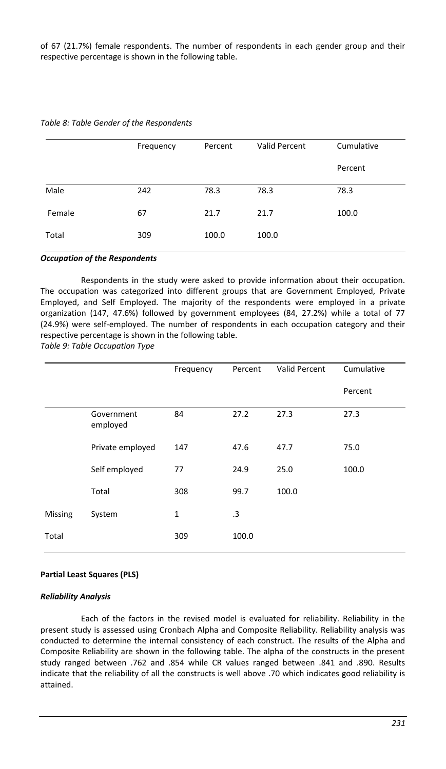of 67 (21.7%) female respondents. The number of respondents in each gender group and their respective percentage is shown in the following table.

|        | Frequency | Percent | Valid Percent | Cumulative |
|--------|-----------|---------|---------------|------------|
|        |           |         |               | Percent    |
| Male   | 242       | 78.3    | 78.3          | 78.3       |
| Female | 67        | 21.7    | 21.7          | 100.0      |
| Total  | 309       | 100.0   | 100.0         |            |

#### *Table 8: Table Gender of the Respondents*

#### *Occupation of the Respondents*

Respondents in the study were asked to provide information about their occupation. The occupation was categorized into different groups that are Government Employed, Private Employed, and Self Employed. The majority of the respondents were employed in a private organization (147, 47.6%) followed by government employees (84, 27.2%) while a total of 77 (24.9%) were self-employed. The number of respondents in each occupation category and their respective percentage is shown in the following table.

*Table 9: Table Occupation Type*

|         |                        | Frequency | Percent   | Valid Percent | Cumulative |
|---------|------------------------|-----------|-----------|---------------|------------|
|         |                        |           |           |               | Percent    |
|         | Government<br>employed | 84        | 27.2      | 27.3          | 27.3       |
|         | Private employed       | 147       | 47.6      | 47.7          | 75.0       |
|         | Self employed          | 77        | 24.9      | 25.0          | 100.0      |
|         | Total                  | 308       | 99.7      | 100.0         |            |
| Missing | System                 | 1         | $\cdot$ 3 |               |            |
| Total   |                        | 309       | 100.0     |               |            |

#### **Partial Least Squares (PLS)**

#### *Reliability Analysis*

Each of the factors in the revised model is evaluated for reliability. Reliability in the present study is assessed using Cronbach Alpha and Composite Reliability. Reliability analysis was conducted to determine the internal consistency of each construct. The results of the Alpha and Composite Reliability are shown in the following table. The alpha of the constructs in the present study ranged between .762 and .854 while CR values ranged between .841 and .890. Results indicate that the reliability of all the constructs is well above .70 which indicates good reliability is attained.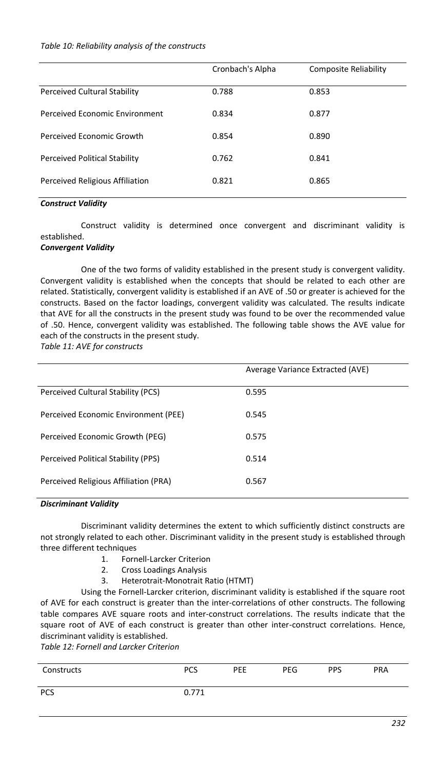### *Table 10: Reliability analysis of the constructs*

|                                     | Cronbach's Alpha | <b>Composite Reliability</b> |
|-------------------------------------|------------------|------------------------------|
| <b>Perceived Cultural Stability</b> | 0.788            | 0.853                        |
| Perceived Economic Environment      | 0.834            | 0.877                        |
| Perceived Economic Growth           | 0.854            | 0.890                        |
| Perceived Political Stability       | 0.762            | 0.841                        |
| Perceived Religious Affiliation     | 0.821            | 0.865                        |

### *Construct Validity*

Construct validity is determined once convergent and discriminant validity is established.

# *Convergent Validity*

One of the two forms of validity established in the present study is convergent validity. Convergent validity is established when the concepts that should be related to each other are related. Statistically, convergent validity is established if an AVE of .50 or greater is achieved for the constructs. Based on the factor loadings, convergent validity was calculated. The results indicate that AVE for all the constructs in the present study was found to be over the recommended value of .50. Hence, convergent validity was established. The following table shows the AVE value for each of the constructs in the present study.

*Table 11: AVE for constructs*

|                                       | Average Variance Extracted (AVE) |
|---------------------------------------|----------------------------------|
| Perceived Cultural Stability (PCS)    | 0.595                            |
| Perceived Economic Environment (PEE)  | 0.545                            |
| Perceived Economic Growth (PEG)       | 0.575                            |
| Perceived Political Stability (PPS)   | 0.514                            |
| Perceived Religious Affiliation (PRA) | 0.567                            |

### *Discriminant Validity*

Discriminant validity determines the extent to which sufficiently distinct constructs are not strongly related to each other. Discriminant validity in the present study is established through three different techniques

- 1. Fornell-Larcker Criterion
- 2. Cross Loadings Analysis<br>3. Heterotrait-Monotrait F
- 3. Heterotrait-Monotrait Ratio (HTMT)

Using the Fornell-Larcker criterion, discriminant validity is established if the square root of AVE for each construct is greater than the inter-correlations of other constructs. The following table compares AVE square roots and inter-construct correlations. The results indicate that the square root of AVE of each construct is greater than other inter-construct correlations. Hence, discriminant validity is established.

*Table 12: Fornell and Larcker Criterion*

| Constructs | PCS   | PEE | PEG | <b>PPS</b> | <b>PRA</b> |
|------------|-------|-----|-----|------------|------------|
| <b>PCS</b> | 0.771 |     |     |            |            |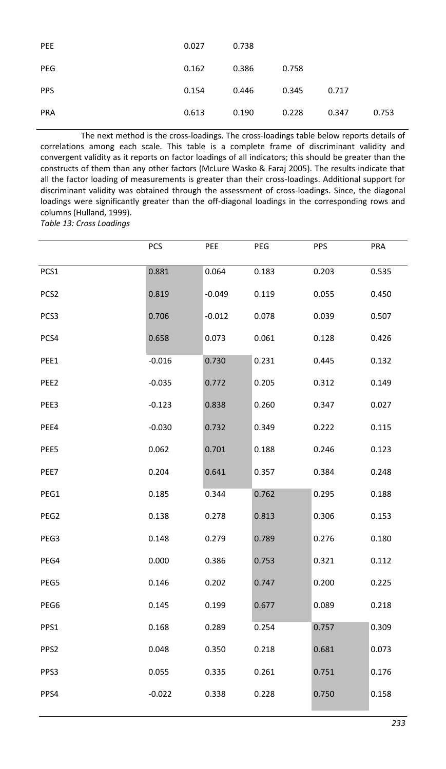| PEE        | 0.027 | 0.738 |       |       |       |
|------------|-------|-------|-------|-------|-------|
| PEG        | 0.162 | 0.386 | 0.758 |       |       |
| <b>PPS</b> | 0.154 | 0.446 | 0.345 | 0.717 |       |
| <b>PRA</b> | 0.613 | 0.190 | 0.228 | 0.347 | 0.753 |

The next method is the cross-loadings. The cross-loadings table below reports details of correlations among each scale. This table is a complete frame of discriminant validity and convergent validity as it reports on factor loadings of all indicators; this should be greater than the constructs of them than any other factors (McLure Wasko & Faraj 2005). The results indicate that all the factor loading of measurements is greater than their cross-loadings. Additional support for discriminant validity was obtained through the assessment of cross-loadings. Since, the diagonal loadings were significantly greater than the off-diagonal loadings in the corresponding rows and columns (Hulland, 1999).

*Table 13: Cross Loadings* 

|                  | <b>PCS</b> | PEE      | PEG   | <b>PPS</b> | PRA   |
|------------------|------------|----------|-------|------------|-------|
| PCS1             | 0.881      | 0.064    | 0.183 | 0.203      | 0.535 |
| PCS <sub>2</sub> | 0.819      | $-0.049$ | 0.119 | 0.055      | 0.450 |
| PCS3             | 0.706      | $-0.012$ | 0.078 | 0.039      | 0.507 |
| PCS4             | 0.658      | 0.073    | 0.061 | 0.128      | 0.426 |
| PEE1             | $-0.016$   | 0.730    | 0.231 | 0.445      | 0.132 |
| PEE2             | $-0.035$   | 0.772    | 0.205 | 0.312      | 0.149 |
| PEE3             | $-0.123$   | 0.838    | 0.260 | 0.347      | 0.027 |
| PEE4             | $-0.030$   | 0.732    | 0.349 | 0.222      | 0.115 |
| PEE5             | 0.062      | 0.701    | 0.188 | 0.246      | 0.123 |
| PEE7             | 0.204      | 0.641    | 0.357 | 0.384      | 0.248 |
| PEG1             | 0.185      | 0.344    | 0.762 | 0.295      | 0.188 |
| PEG2             | 0.138      | 0.278    | 0.813 | 0.306      | 0.153 |
| PEG3             | 0.148      | 0.279    | 0.789 | 0.276      | 0.180 |
| PEG4             | 0.000      | 0.386    | 0.753 | 0.321      | 0.112 |
| PEG5             | 0.146      | 0.202    | 0.747 | 0.200      | 0.225 |
| PEG6             | 0.145      | 0.199    | 0.677 | 0.089      | 0.218 |
| PPS1             | 0.168      | 0.289    | 0.254 | 0.757      | 0.309 |
| PPS2             | 0.048      | 0.350    | 0.218 | 0.681      | 0.073 |
| PPS3             | 0.055      | 0.335    | 0.261 | 0.751      | 0.176 |
| PPS4             | $-0.022$   | 0.338    | 0.228 | 0.750      | 0.158 |
|                  |            |          |       |            |       |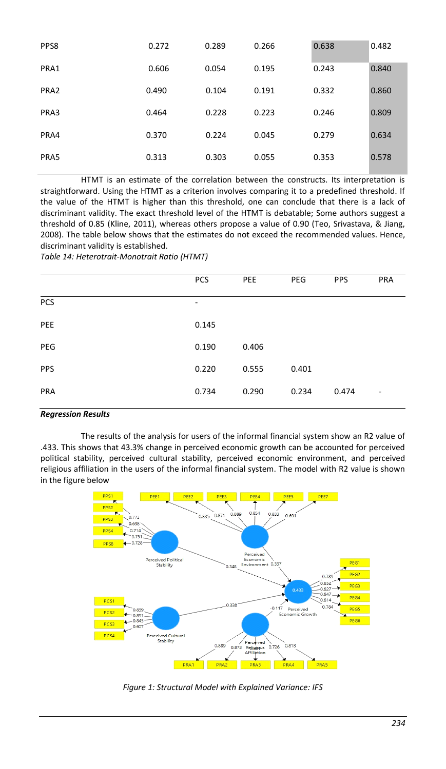| PPS8 | 0.272 | 0.289 | 0.266 | 0.638 | 0.482 |
|------|-------|-------|-------|-------|-------|
| PRA1 | 0.606 | 0.054 | 0.195 | 0.243 | 0.840 |
| PRA2 | 0.490 | 0.104 | 0.191 | 0.332 | 0.860 |
| PRA3 | 0.464 | 0.228 | 0.223 | 0.246 | 0.809 |
| PRA4 | 0.370 | 0.224 | 0.045 | 0.279 | 0.634 |
| PRA5 | 0.313 | 0.303 | 0.055 | 0.353 | 0.578 |

HTMT is an estimate of the correlation between the constructs. Its interpretation is straightforward. Using the HTMT as a criterion involves comparing it to a predefined threshold. If the value of the HTMT is higher than this threshold, one can conclude that there is a lack of discriminant validity. The exact threshold level of the HTMT is debatable; Some authors suggest a threshold of 0.85 (Kline, 2011), whereas others propose a value of 0.90 (Teo, Srivastava, & Jiang, 2008). The table below shows that the estimates do not exceed the recommended values. Hence, discriminant validity is established.

*Table 14: Heterotrait-Monotrait Ratio (HTMT)*

|            | PCS                      | PEE   | PEG   | <b>PPS</b> | PRA                      |
|------------|--------------------------|-------|-------|------------|--------------------------|
| PCS        | $\overline{\phantom{a}}$ |       |       |            |                          |
| PEE        | 0.145                    |       |       |            |                          |
| PEG        | 0.190                    | 0.406 |       |            |                          |
| PPS        | 0.220                    | 0.555 | 0.401 |            |                          |
| <b>PRA</b> | 0.734                    | 0.290 | 0.234 | 0.474      | $\overline{\phantom{a}}$ |
|            |                          |       |       |            |                          |

### *Regression Results*

The results of the analysis for users of the informal financial system show an R2 value of .433. This shows that 43.3% change in perceived economic growth can be accounted for perceived political stability, perceived cultural stability, perceived economic environment, and perceived religious affiliation in the users of the informal financial system. The model with R2 value is shown in the figure below



*Figure 1: Structural Model with Explained Variance: IFS*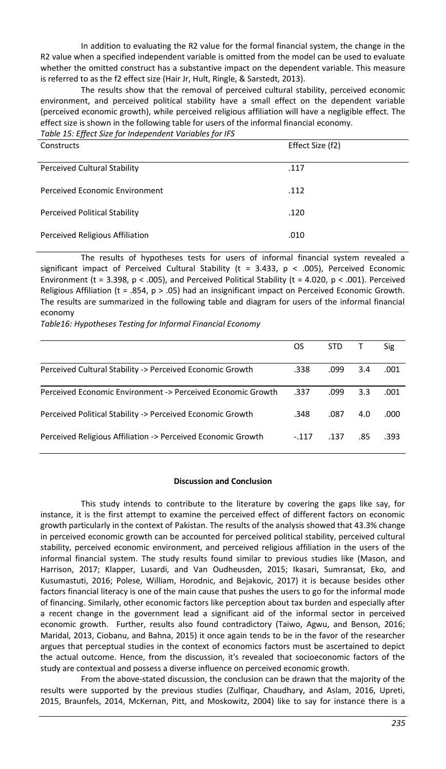In addition to evaluating the R2 value for the formal financial system, the change in the R2 value when a specified independent variable is omitted from the model can be used to evaluate whether the omitted construct has a substantive impact on the dependent variable. This measure is referred to as the f2 effect size (Hair Jr, Hult, Ringle, & Sarstedt, 2013).

The results show that the removal of perceived cultural stability, perceived economic environment, and perceived political stability have a small effect on the dependent variable (perceived economic growth), while perceived religious affiliation will have a negligible effect. The effect size is shown in the following table for users of the informal financial economy.

*Table 15: Effect Size for Independent Variables for IFS*

| Constructs                           | Effect Size (f2) |
|--------------------------------------|------------------|
| <b>Perceived Cultural Stability</b>  | .117             |
| Perceived Economic Environment       | .112             |
| <b>Perceived Political Stability</b> | .120             |
| Perceived Religious Affiliation      | .010             |

The results of hypotheses tests for users of informal financial system revealed a significant impact of Perceived Cultural Stability ( $t = 3.433$ ,  $p < .005$ ), Perceived Economic Environment (t = 3.398,  $p < .005$ ), and Perceived Political Stability (t = 4.020,  $p < .001$ ). Perceived Religious Affiliation (t = .854, p > .05) had an insignificant impact on Perceived Economic Growth. The results are summarized in the following table and diagram for users of the informal financial economy

*Table16: Hypotheses Testing for Informal Financial Economy*

|                                                              | OS      | STD  |     | <b>Sig</b> |
|--------------------------------------------------------------|---------|------|-----|------------|
| Perceived Cultural Stability -> Perceived Economic Growth    | .338    | .099 | 3.4 | .001       |
| Perceived Economic Environment -> Perceived Economic Growth  | .337    | .099 | 3.3 | .001       |
| Perceived Political Stability -> Perceived Economic Growth   | .348    | .087 | 4.0 | .000       |
| Perceived Religious Affiliation -> Perceived Economic Growth | $-.117$ | .137 | .85 | .393       |

### **Discussion and Conclusion**

This study intends to contribute to the literature by covering the gaps like say, for instance, it is the first attempt to examine the perceived effect of different factors on economic growth particularly in the context of Pakistan. The results of the analysis showed that 43.3% change in perceived economic growth can be accounted for perceived political stability, perceived cultural stability, perceived economic environment, and perceived religious affiliation in the users of the informal financial system. The study results found similar to previous studies like (Mason, and Harrison, 2017; Klapper, Lusardi, and Van Oudheusden, 2015; Ikasari, Sumransat, Eko, and Kusumastuti, 2016; Polese, William, Horodnic, and Bejakovic, 2017) it is because besides other factors financial literacy is one of the main cause that pushes the users to go for the informal mode of financing. Similarly, other economic factors like perception about tax burden and especially after a recent change in the government lead a significant aid of the informal sector in perceived economic growth. Further, results also found contradictory (Taiwo, Agwu, and Benson, 2016; Maridal, 2013, Ciobanu, and Bahna, 2015) it once again tends to be in the favor of the researcher argues that perceptual studies in the context of economics factors must be ascertained to depict the actual outcome. Hence, from the discussion, it's revealed that socioeconomic factors of the study are contextual and possess a diverse influence on perceived economic growth.

From the above-stated discussion, the conclusion can be drawn that the majority of the results were supported by the previous studies (Zulfiqar, Chaudhary, and Aslam, 2016, Upreti, 2015, Braunfels, 2014, McKernan, Pitt, and Moskowitz, 2004) like to say for instance there is a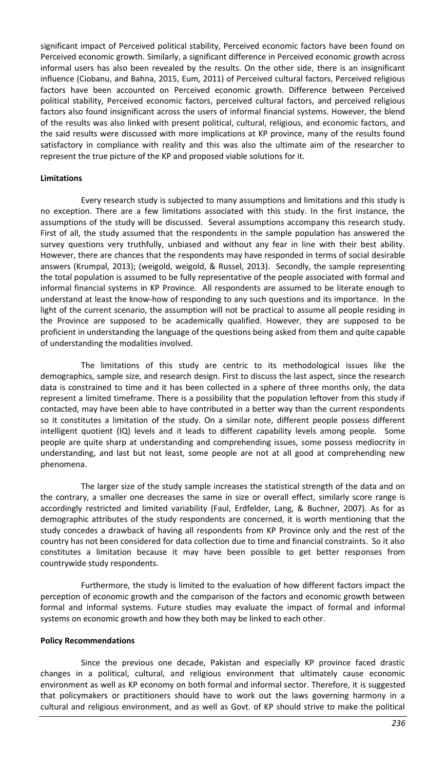significant impact of Perceived political stability, Perceived economic factors have been found on Perceived economic growth. Similarly, a significant difference in Perceived economic growth across informal users has also been revealed by the results. On the other side, there is an insignificant influence (Ciobanu, and Bahna, 2015, Eum, 2011) of Perceived cultural factors, Perceived religious factors have been accounted on Perceived economic growth. Difference between Perceived political stability, Perceived economic factors, perceived cultural factors, and perceived religious factors also found insignificant across the users of informal financial systems. However, the blend of the results was also linked with present political, cultural, religious, and economic factors, and the said results were discussed with more implications at KP province, many of the results found satisfactory in compliance with reality and this was also the ultimate aim of the researcher to represent the true picture of the KP and proposed viable solutions for it.

### **Limitations**

Every research study is subjected to many assumptions and limitations and this study is no exception. There are a few limitations associated with this study. In the first instance, the assumptions of the study will be discussed. Several assumptions accompany this research study. First of all, the study assumed that the respondents in the sample population has answered the survey questions very truthfully, unbiased and without any fear in line with their best ability. However, there are chances that the respondents may have responded in terms of social desirable answers (Krumpal, 2013); (weigold, weigold, & Russel, 2013). Secondly, the sample representing the total population is assumed to be fully representative of the people associated with formal and informal financial systems in KP Province. All respondents are assumed to be literate enough to understand at least the know-how of responding to any such questions and its importance. In the light of the current scenario, the assumption will not be practical to assume all people residing in the Province are supposed to be academically qualified. However, they are supposed to be proficient in understanding the language of the questions being asked from them and quite capable of understanding the modalities involved.

The limitations of this study are centric to its methodological issues like the demographics, sample size, and research design. First to discuss the last aspect, since the research data is constrained to time and it has been collected in a sphere of three months only, the data represent a limited timeframe. There is a possibility that the population leftover from this study if contacted, may have been able to have contributed in a better way than the current respondents so it constitutes a limitation of the study. On a similar note, different people possess different intelligent quotient (IQ) levels and it leads to different capability levels among people. Some people are quite sharp at understanding and comprehending issues, some possess mediocrity in understanding, and last but not least, some people are not at all good at comprehending new phenomena.

The larger size of the study sample increases the statistical strength of the data and on the contrary, a smaller one decreases the same in size or overall effect, similarly score range is accordingly restricted and limited variability (Faul, Erdfelder, Lang, & Buchner, 2007). As for as demographic attributes of the study respondents are concerned, it is worth mentioning that the study concedes a drawback of having all respondents from KP Province only and the rest of the country has not been considered for data collection due to time and financial constraints. So it also constitutes a limitation because it may have been possible to get better responses from countrywide study respondents.

Furthermore, the study is limited to the evaluation of how different factors impact the perception of economic growth and the comparison of the factors and economic growth between formal and informal systems. Future studies may evaluate the impact of formal and informal systems on economic growth and how they both may be linked to each other.

### **Policy Recommendations**

Since the previous one decade, Pakistan and especially KP province faced drastic changes in a political, cultural, and religious environment that ultimately cause economic environment as well as KP economy on both formal and informal sector. Therefore, it is suggested that policymakers or practitioners should have to work out the laws governing harmony in a cultural and religious environment, and as well as Govt. of KP should strive to make the political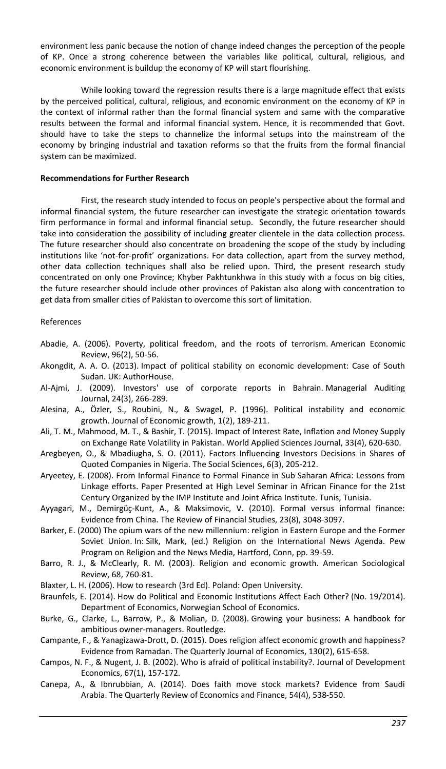environment less panic because the notion of change indeed changes the perception of the people of KP. Once a strong coherence between the variables like political, cultural, religious, and economic environment is buildup the economy of KP will start flourishing.

While looking toward the regression results there is a large magnitude effect that exists by the perceived political, cultural, religious, and economic environment on the economy of KP in the context of informal rather than the formal financial system and same with the comparative results between the formal and informal financial system. Hence, it is recommended that Govt. should have to take the steps to channelize the informal setups into the mainstream of the economy by bringing industrial and taxation reforms so that the fruits from the formal financial system can be maximized.

### **Recommendations for Further Research**

First, the research study intended to focus on people's perspective about the formal and informal financial system, the future researcher can investigate the strategic orientation towards firm performance in formal and informal financial setup. Secondly, the future researcher should take into consideration the possibility of including greater clientele in the data collection process. The future researcher should also concentrate on broadening the scope of the study by including institutions like 'not-for-profit' organizations. For data collection, apart from the survey method, other data collection techniques shall also be relied upon. Third, the present research study concentrated on only one Province; Khyber Pakhtunkhwa in this study with a focus on big cities, the future researcher should include other provinces of Pakistan also along with concentration to get data from smaller cities of Pakistan to overcome this sort of limitation.

### References

- Abadie, A. (2006). Poverty, political freedom, and the roots of terrorism. American Economic Review, 96(2), 50-56.
- Akongdit, A. A. O. (2013). Impact of political stability on economic development: Case of South Sudan. UK: AuthorHouse.
- Al-Ajmi, J. (2009). Investors' use of corporate reports in Bahrain. Managerial Auditing Journal, 24(3), 266-289.
- Alesina, A., Özler, S., Roubini, N., & Swagel, P. (1996). Political instability and economic growth. Journal of Economic growth, 1(2), 189-211.
- Ali, T. M., Mahmood, M. T., & Bashir, T. (2015). Impact of Interest Rate, Inflation and Money Supply on Exchange Rate Volatility in Pakistan. World Applied Sciences Journal, 33(4), 620-630.
- Aregbeyen, O., & Mbadiugha, S. O. (2011). Factors Influencing Investors Decisions in Shares of Quoted Companies in Nigeria. The Social Sciences, 6(3), 205-212.
- Aryeetey, E. (2008). From Informal Finance to Formal Finance in Sub Saharan Africa: Lessons from Linkage efforts. Paper Presented at High Level Seminar in African Finance for the 21st Century Organized by the IMP Institute and Joint Africa Institute. Tunis, Tunisia.
- Ayyagari, M., Demirgüç-Kunt, A., & Maksimovic, V. (2010). Formal versus informal finance: Evidence from China. The Review of Financial Studies, 23(8), 3048-3097.
- Barker, E. (2000) The opium wars of the new millennium: religion in Eastern Europe and the Former Soviet Union. In: Silk, Mark, (ed.) Religion on the International News Agenda. Pew Program on Religion and the News Media, Hartford, Conn, pp. 39-59.
- Barro, R. J., & McClearly, R. M. (2003). Religion and economic growth. American Sociological Review, 68, 760-81.
- Blaxter, L. H. (2006). How to research (3rd Ed). Poland: Open University.
- Braunfels, E. (2014). How do Political and Economic Institutions Affect Each Other? (No. 19/2014). Department of Economics, Norwegian School of Economics.
- Burke, G., Clarke, L., Barrow, P., & Molian, D. (2008). Growing your business: A handbook for ambitious owner-managers. Routledge.
- Campante, F., & Yanagizawa-Drott, D. (2015). Does religion affect economic growth and happiness? Evidence from Ramadan. The Quarterly Journal of Economics, 130(2), 615-658.
- Campos, N. F., & Nugent, J. B. (2002). Who is afraid of political instability?. Journal of Development Economics, 67(1), 157-172.
- Canepa, A., & Ibnrubbian, A. (2014). Does faith move stock markets? Evidence from Saudi Arabia. The Quarterly Review of Economics and Finance, 54(4), 538-550.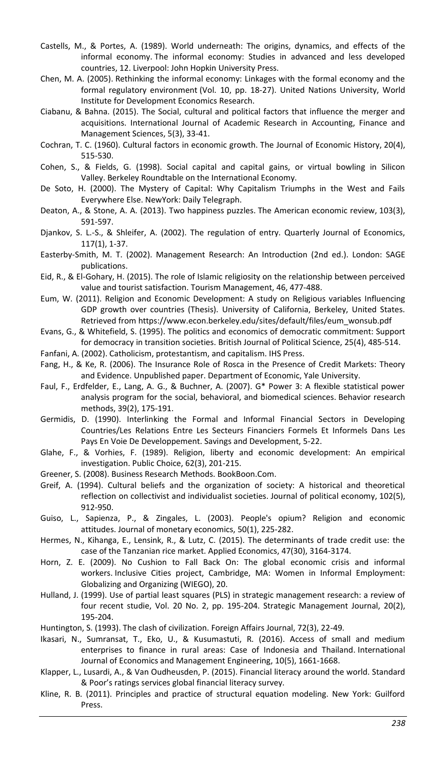- Castells, M., & Portes, A. (1989). World underneath: The origins, dynamics, and effects of the informal economy. The informal economy: Studies in advanced and less developed countries, 12. Liverpool: John Hopkin University Press.
- Chen, M. A. (2005). Rethinking the informal economy: Linkages with the formal economy and the formal regulatory environment (Vol. 10, pp. 18-27). United Nations University, World Institute for Development Economics Research.
- Ciabanu, & Bahna. (2015). The Social, cultural and political factors that influence the merger and acquisitions. International Journal of Academic Research in Accounting, Finance and Management Sciences, 5(3), 33-41.
- Cochran, T. C. (1960). Cultural factors in economic growth. The Journal of Economic History, 20(4), 515-530.
- Cohen, S., & Fields, G. (1998). Social capital and capital gains, or virtual bowling in Silicon Valley. Berkeley Roundtable on the International Economy.
- De Soto, H. (2000). The Mystery of Capital: Why Capitalism Triumphs in the West and Fails Everywhere Else. NewYork: Daily Telegraph.
- Deaton, A., & Stone, A. A. (2013). Two happiness puzzles. The American economic review, 103(3), 591-597.
- Djankov, S. L.-S., & Shleifer, A. (2002). The regulation of entry. Quarterly Journal of Economics, 117(1), 1-37.
- Easterby-Smith, M. T. (2002). Management Research: An Introduction (2nd ed.). London: SAGE publications.
- Eid, R., & El-Gohary, H. (2015). The role of Islamic religiosity on the relationship between perceived value and tourist satisfaction. Tourism Management, 46, 477-488.
- Eum, W. (2011). Religion and Economic Development: A study on Religious variables Influencing GDP growth over countries (Thesis). University of California, Berkeley, United States. Retrieved from https://www.econ.berkeley.edu/sites/default/files/eum\_wonsub.pdf
- Evans, G., & Whitefield, S. (1995). The politics and economics of democratic commitment: Support for democracy in transition societies. British Journal of Political Science, 25(4), 485-514.
- Fanfani, A. (2002). Catholicism, protestantism, and capitalism. IHS Press.
- Fang, H., & Ke, R. (2006). The Insurance Role of Rosca in the Presence of Credit Markets: Theory and Evidence. Unpublished paper. Department of Economic, Yale University.
- Faul, F., Erdfelder, E., Lang, A. G., & Buchner, A. (2007). G\* Power 3: A flexible statistical power analysis program for the social, behavioral, and biomedical sciences. Behavior research methods, 39(2), 175-191.
- Germidis, D. (1990). Interlinking the Formal and Informal Financial Sectors in Developing Countries/Les Relations Entre Les Secteurs Financiers Formels Et Informels Dans Les Pays En Voie De Developpement. Savings and Development, 5-22.
- Glahe, F., & Vorhies, F. (1989). Religion, liberty and economic development: An empirical investigation. Public Choice, 62(3), 201-215.
- Greener, S. (2008). Business Research Methods. BookBoon.Com.
- Greif, A. (1994). Cultural beliefs and the organization of society: A historical and theoretical reflection on collectivist and individualist societies. Journal of political economy, 102(5), 912-950.
- Guiso, L., Sapienza, P., & Zingales, L. (2003). People's opium? Religion and economic attitudes. Journal of monetary economics, 50(1), 225-282.
- Hermes, N., Kihanga, E., Lensink, R., & Lutz, C. (2015). The determinants of trade credit use: the case of the Tanzanian rice market. Applied Economics, 47(30), 3164-3174.
- Horn, Z. E. (2009). No Cushion to Fall Back On: The global economic crisis and informal workers. Inclusive Cities project, Cambridge, MA: Women in Informal Employment: Globalizing and Organizing (WIEGO), 20.
- Hulland, J. (1999). Use of partial least squares (PLS) in strategic management research: a review of four recent studie, Vol. 20 No. 2, pp. 195-204. Strategic Management Journal, 20(2), 195-204.
- Huntington, S. (1993). The clash of civilization. Foreign Affairs Journal, 72(3), 22-49.
- Ikasari, N., Sumransat, T., Eko, U., & Kusumastuti, R. (2016). Access of small and medium enterprises to finance in rural areas: Case of Indonesia and Thailand. International Journal of Economics and Management Engineering, 10(5), 1661-1668.
- Klapper, L., Lusardi, A., & Van Oudheusden, P. (2015). Financial literacy around the world. Standard & Poor's ratings services global financial literacy survey.
- Kline, R. B. (2011). Principles and practice of structural equation modeling. New York: Guilford Press.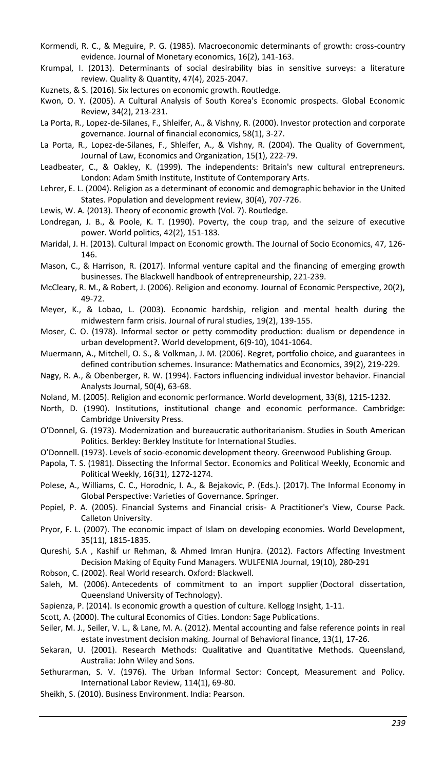- Kormendi, R. C., & Meguire, P. G. (1985). Macroeconomic determinants of growth: cross-country evidence. Journal of Monetary economics, 16(2), 141-163.
- Krumpal, I. (2013). Determinants of social desirability bias in sensitive surveys: a literature review. Quality & Quantity, 47(4), 2025-2047.
- Kuznets, & S. (2016). Six lectures on economic growth. Routledge.
- Kwon, O. Y. (2005). A Cultural Analysis of South Korea's Economic prospects. Global Economic Review, 34(2), 213-231.
- La Porta, R., Lopez-de-Silanes, F., Shleifer, A., & Vishny, R. (2000). Investor protection and corporate governance. Journal of financial economics, 58(1), 3-27.
- La Porta, R., Lopez-de-Silanes, F., Shleifer, A., & Vishny, R. (2004). The Quality of Government, Journal of Law, Economics and Organization, 15(1), 222-79.
- Leadbeater, C., & Oakley, K. (1999). The independents: Britain's new cultural entrepreneurs. London: Adam Smith Institute, Institute of Contemporary Arts.
- Lehrer, E. L. (2004). Religion as a determinant of economic and demographic behavior in the United States. Population and development review, 30(4), 707-726.
- Lewis, W. A. (2013). Theory of economic growth (Vol. 7). Routledge.
- Londregan, J. B., & Poole, K. T. (1990). Poverty, the coup trap, and the seizure of executive power. World politics, 42(2), 151-183.
- Maridal, J. H. (2013). Cultural Impact on Economic growth. The Journal of Socio Economics, 47, 126- 146.
- Mason, C., & Harrison, R. (2017). Informal venture capital and the financing of emerging growth businesses. The Blackwell handbook of entrepreneurship, 221-239.
- McCleary, R. M., & Robert, J. (2006). Religion and economy. Journal of Economic Perspective, 20(2), 49-72.
- Meyer, K., & Lobao, L. (2003). Economic hardship, religion and mental health during the midwestern farm crisis. Journal of rural studies, 19(2), 139-155.
- Moser, C. O. (1978). Informal sector or petty commodity production: dualism or dependence in urban development?. World development, 6(9-10), 1041-1064.
- Muermann, A., Mitchell, O. S., & Volkman, J. M. (2006). Regret, portfolio choice, and guarantees in defined contribution schemes. Insurance: Mathematics and Economics, 39(2), 219-229.
- Nagy, R. A., & Obenberger, R. W. (1994). Factors influencing individual investor behavior. Financial Analysts Journal, 50(4), 63-68.
- Noland, M. (2005). Religion and economic performance. World development, 33(8), 1215-1232.
- North, D. (1990). Institutions, institutional change and economic performance. Cambridge: Cambridge University Press.
- O'Donnel, G. (1973). Modernization and bureaucratic authoritarianism. Studies in South American Politics. Berkley: Berkley Institute for International Studies.
- O'Donnell. (1973). Levels of socio-economic development theory. Greenwood Publishing Group.
- Papola, T. S. (1981). Dissecting the Informal Sector. Economics and Political Weekly, Economic and Political Weekly, 16(31), 1272-1274.
- Polese, A., Williams, C. C., Horodnic, I. A., & Bejakovic, P. (Eds.). (2017). The Informal Economy in Global Perspective: Varieties of Governance. Springer.
- Popiel, P. A. (2005). Financial Systems and Financial crisis- A Practitioner's View, Course Pack. Calleton University.
- Pryor, F. L. (2007). The economic impact of Islam on developing economies. World Development, 35(11), 1815-1835.
- Qureshi, S.A , Kashif ur Rehman, & Ahmed Imran Hunjra. (2012). Factors Affecting Investment Decision Making of Equity Fund Managers. WULFENIA Journal, 19(10), 280-291
- Robson, C. (2002). Real World research. Oxford: Blackwell.
- Saleh, M. (2006). Antecedents of commitment to an import supplier (Doctoral dissertation, Queensland University of Technology).
- Sapienza, P. (2014). Is economic growth a question of culture. Kellogg Insight, 1-11.
- Scott, A. (2000). The cultural Economics of Cities. London: Sage Publications.
- Seiler, M. J., Seiler, V. L., & Lane, M. A. (2012). Mental accounting and false reference points in real estate investment decision making. Journal of Behavioral finance, 13(1), 17-26.
- Sekaran, U. (2001). Research Methods: Qualitative and Quantitative Methods. Queensland, Australia: John Wiley and Sons.
- Sethurarman, S. V. (1976). The Urban Informal Sector: Concept, Measurement and Policy. International Labor Review, 114(1), 69-80.
- Sheikh, S. (2010). Business Environment. India: Pearson.